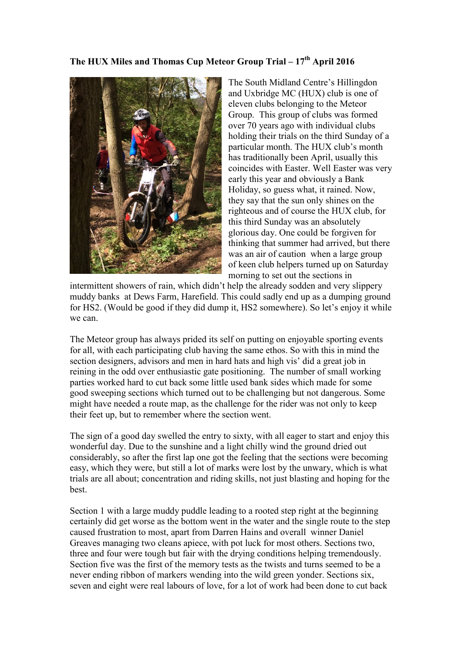## **The HUX Miles and Thomas Cup Meteor Group Trial – 17 th April 2016**



The South Midland Centre's Hillingdon and Uxbridge MC (HUX) club is one of eleven clubs belonging to the Meteor Group. This group of clubs was formed over 70 years ago with individual clubs holding their trials on the third Sunday of a particular month. The HUX club's month has traditionally been April, usually this coincides with Easter. Well Easter was very early this year and obviously a Bank Holiday, so guess what, it rained. Now, they say that the sun only shines on the righteous and of course the HUX club, for this third Sunday was an absolutely glorious day. One could be forgiven for thinking that summer had arrived, but there was an air of caution when a large group of keen club helpers turned up on Saturday morning to set out the sections in

intermittent showers of rain, which didn't help the already sodden and very slippery muddy banks at Dews Farm, Harefield. This could sadly end up as a dumping ground for HS2. (Would be good if they did dump it, HS2 somewhere). So let's enjoy it while we can.

The Meteor group has always prided its self on putting on enjoyable sporting events for all, with each participating club having the same ethos. So with this in mind the section designers, advisors and men in hard hats and high vis' did a great job in reining in the odd over enthusiastic gate positioning. The number of small working parties worked hard to cut back some little used bank sides which made for some good sweeping sections which turned out to be challenging but not dangerous. Some might have needed a route map, as the challenge for the rider was not only to keep their feet up, but to remember where the section went.

The sign of a good day swelled the entry to sixty, with all eager to start and enjoy this wonderful day. Due to the sunshine and a light chilly wind the ground dried out considerably, so after the first lap one got the feeling that the sections were becoming easy, which they were, but still a lot of marks were lost by the unwary, which is what trials are all about; concentration and riding skills, not just blasting and hoping for the best.

Section 1 with a large muddy puddle leading to a rooted step right at the beginning certainly did get worse as the bottom went in the water and the single route to the step caused frustration to most, apart from Darren Hains and overall winner Daniel Greaves managing two cleans apiece, with pot luck for most others. Sections two, three and four were tough but fair with the drying conditions helping tremendously. Section five was the first of the memory tests as the twists and turns seemed to be a never ending ribbon of markers wending into the wild green yonder. Sections six, seven and eight were real labours of love, for a lot of work had been done to cut back